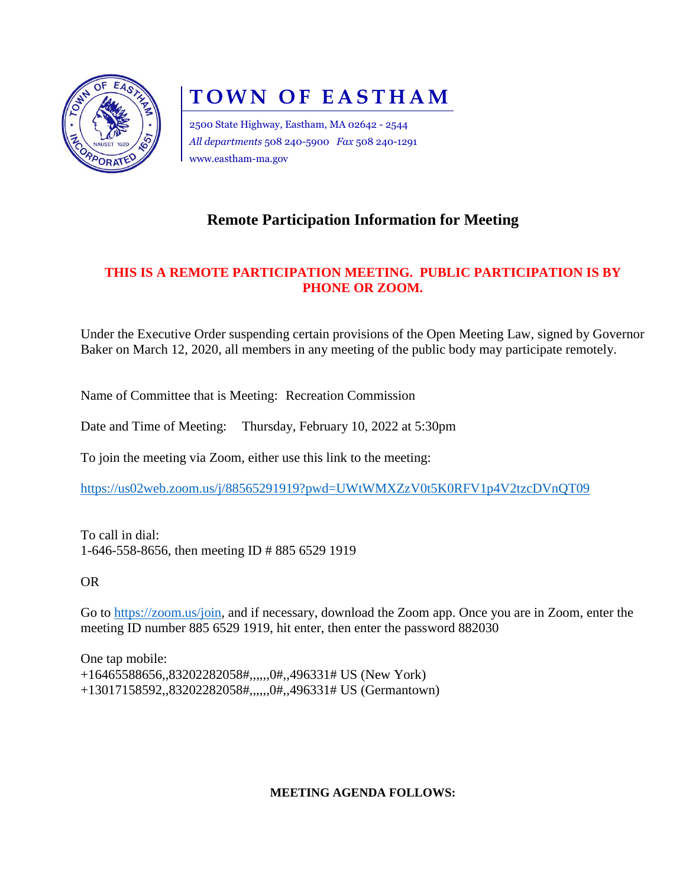

# **TOWN OF EASTHAM**

2500 State Highway, Eastham, MA 02642 - 2544 *All departments* 508 240-5900 *Fax* 508 240-1291 www.eastham-ma.gov

# **Remote Participation Information for Meeting**

## **THIS IS A REMOTE PARTICIPATION MEETING. PUBLIC PARTICIPATION IS BY PHONE OR ZOOM.**

Under the Executive Order suspending certain provisions of the Open Meeting Law, signed by Governor Baker on March 12, 2020, all members in any meeting of the public body may participate remotely.

Name of Committee that is Meeting: Recreation Commission

Date and Time of Meeting: Thursday, February 10, 2022 at 5:30pm

To join the meeting via Zoom, either use this link to the meeting:

<https://us02web.zoom.us/j/88565291919?pwd=UWtWMXZzV0t5K0RFV1p4V2tzcDVnQT09>

To call in dial: 1-646-558-8656, then meeting ID # 885 6529 1919

OR

Go to [https://zoom.us/join,](https://zoom.us/join) and if necessary, download the Zoom app. Once you are in Zoom, enter the meeting ID number 885 6529 1919, hit enter, then enter the password 882030

One tap mobile: +16465588656,,83202282058#,,,,,,0#,,496331# US (New York) +13017158592,,83202282058#,,,,,,0#,,496331# US (Germantown)

#### **MEETING AGENDA FOLLOWS:**